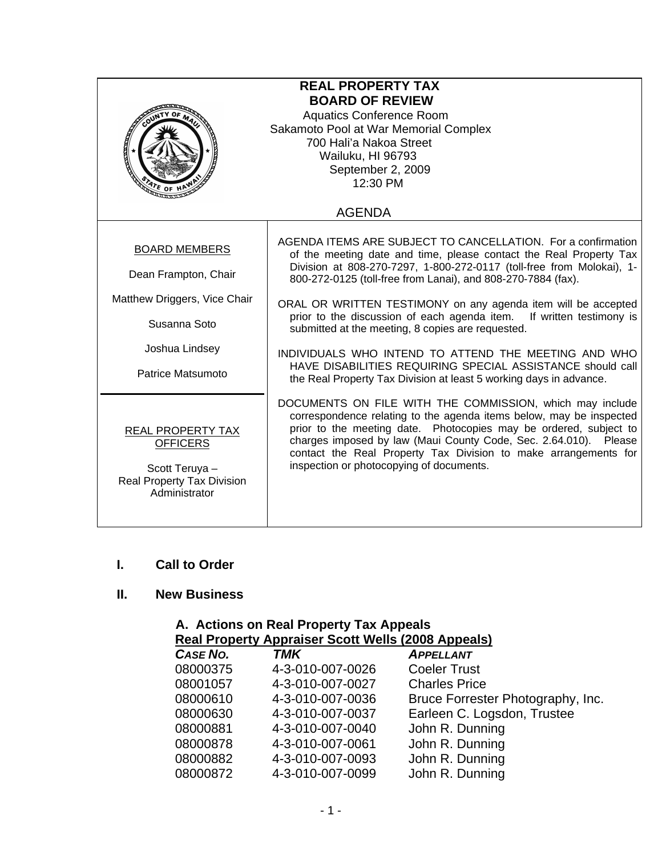| <b>REAL PROPERTY TAX</b><br><b>BOARD OF REVIEW</b><br><b>Aquatics Conference Room</b><br>Sakamoto Pool at War Memorial Complex<br>700 Hali'a Nakoa Street<br>Wailuku, HI 96793<br>September 2, 2009<br>12:30 PM |                                                                                                                                                                                                                                                                                                                                                                                                                                                                                                                                                                                                                                                                          |  |  |
|-----------------------------------------------------------------------------------------------------------------------------------------------------------------------------------------------------------------|--------------------------------------------------------------------------------------------------------------------------------------------------------------------------------------------------------------------------------------------------------------------------------------------------------------------------------------------------------------------------------------------------------------------------------------------------------------------------------------------------------------------------------------------------------------------------------------------------------------------------------------------------------------------------|--|--|
|                                                                                                                                                                                                                 | <b>AGENDA</b>                                                                                                                                                                                                                                                                                                                                                                                                                                                                                                                                                                                                                                                            |  |  |
| <b>BOARD MEMBERS</b><br>Dean Frampton, Chair<br>Matthew Driggers, Vice Chair<br>Susanna Soto<br>Joshua Lindsey<br>Patrice Matsumoto                                                                             | AGENDA ITEMS ARE SUBJECT TO CANCELLATION. For a confirmation<br>of the meeting date and time, please contact the Real Property Tax<br>Division at 808-270-7297, 1-800-272-0117 (toll-free from Molokai), 1-<br>800-272-0125 (toll-free from Lanai), and 808-270-7884 (fax).<br>ORAL OR WRITTEN TESTIMONY on any agenda item will be accepted<br>prior to the discussion of each agenda item.<br>If written testimony is<br>submitted at the meeting, 8 copies are requested.<br>INDIVIDUALS WHO INTEND TO ATTEND THE MEETING AND WHO<br>HAVE DISABILITIES REQUIRING SPECIAL ASSISTANCE should call<br>the Real Property Tax Division at least 5 working days in advance. |  |  |
| REAL PROPERTY TAX<br><b>OFFICERS</b><br>Scott Teruya -<br><b>Real Property Tax Division</b><br>Administrator                                                                                                    | DOCUMENTS ON FILE WITH THE COMMISSION, which may include<br>correspondence relating to the agenda items below, may be inspected<br>prior to the meeting date. Photocopies may be ordered, subject to<br>charges imposed by law (Maui County Code, Sec. 2.64.010). Please<br>contact the Real Property Tax Division to make arrangements for<br>inspection or photocopying of documents.                                                                                                                                                                                                                                                                                  |  |  |

## **I. Call to Order**

## **II. New Business**

| A. Actions on Real Property Tax Appeals |                                                           |                                   |  |  |  |
|-----------------------------------------|-----------------------------------------------------------|-----------------------------------|--|--|--|
|                                         | <b>Real Property Appraiser Scott Wells (2008 Appeals)</b> |                                   |  |  |  |
| CASE NO.                                | <b>TMK</b>                                                | <b>APPELLANT</b>                  |  |  |  |
| 08000375                                | 4-3-010-007-0026                                          | <b>Coeler Trust</b>               |  |  |  |
| 08001057                                | 4-3-010-007-0027                                          | <b>Charles Price</b>              |  |  |  |
| 08000610                                | 4-3-010-007-0036                                          | Bruce Forrester Photography, Inc. |  |  |  |
| 08000630                                | 4-3-010-007-0037                                          | Earleen C. Logsdon, Trustee       |  |  |  |
| 08000881                                | 4-3-010-007-0040                                          | John R. Dunning                   |  |  |  |
| 08000878                                | 4-3-010-007-0061                                          | John R. Dunning                   |  |  |  |
| 08000882                                | 4-3-010-007-0093                                          | John R. Dunning                   |  |  |  |
| 08000872                                | 4-3-010-007-0099                                          | John R. Dunning                   |  |  |  |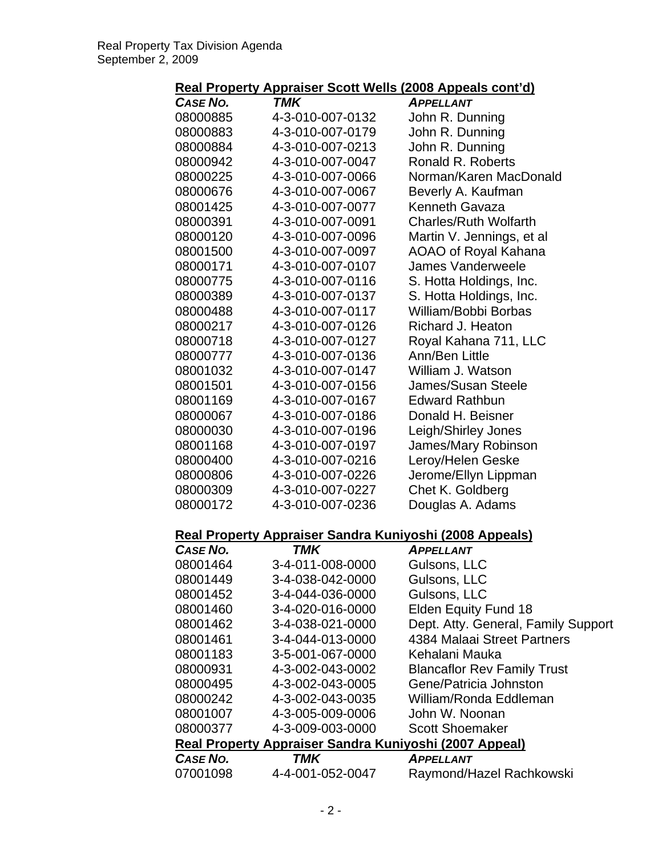| Real Property Appraiser Scott Wells (2008 Appeals cont'd) |  |
|-----------------------------------------------------------|--|
|-----------------------------------------------------------|--|

| <b>CASE NO.</b>                                        | TMK                                                     | <b>APPELLANT</b>                    |
|--------------------------------------------------------|---------------------------------------------------------|-------------------------------------|
| 08000885                                               | 4-3-010-007-0132                                        | John R. Dunning                     |
| 08000883                                               | 4-3-010-007-0179                                        | John R. Dunning                     |
| 08000884                                               | 4-3-010-007-0213                                        | John R. Dunning                     |
| 08000942                                               | 4-3-010-007-0047                                        | Ronald R. Roberts                   |
| 08000225                                               | 4-3-010-007-0066                                        | Norman/Karen MacDonald              |
| 08000676                                               | 4-3-010-007-0067                                        | Beverly A. Kaufman                  |
| 08001425                                               | 4-3-010-007-0077                                        | Kenneth Gavaza                      |
| 08000391                                               | 4-3-010-007-0091                                        | <b>Charles/Ruth Wolfarth</b>        |
| 08000120                                               | 4-3-010-007-0096                                        | Martin V. Jennings, et al           |
| 08001500                                               | 4-3-010-007-0097                                        | AOAO of Royal Kahana                |
| 08000171                                               | 4-3-010-007-0107                                        | James Vanderweele                   |
| 08000775                                               | 4-3-010-007-0116                                        | S. Hotta Holdings, Inc.             |
| 08000389                                               | 4-3-010-007-0137                                        | S. Hotta Holdings, Inc.             |
| 08000488                                               | 4-3-010-007-0117                                        | William/Bobbi Borbas                |
| 08000217                                               | 4-3-010-007-0126                                        | Richard J. Heaton                   |
| 08000718                                               | 4-3-010-007-0127                                        | Royal Kahana 711, LLC               |
| 08000777                                               | 4-3-010-007-0136                                        | Ann/Ben Little                      |
| 08001032                                               | 4-3-010-007-0147                                        | William J. Watson                   |
| 08001501                                               | 4-3-010-007-0156                                        | James/Susan Steele                  |
| 08001169                                               | 4-3-010-007-0167                                        | <b>Edward Rathbun</b>               |
| 08000067                                               | 4-3-010-007-0186                                        | Donald H. Beisner                   |
| 08000030                                               | 4-3-010-007-0196                                        | Leigh/Shirley Jones                 |
| 08001168                                               | 4-3-010-007-0197                                        | James/Mary Robinson                 |
| 08000400                                               | 4-3-010-007-0216                                        | Leroy/Helen Geske                   |
| 08000806                                               | 4-3-010-007-0226                                        | Jerome/Ellyn Lippman                |
| 08000309                                               | 4-3-010-007-0227                                        | Chet K. Goldberg                    |
| 08000172                                               | 4-3-010-007-0236                                        | Douglas A. Adams                    |
|                                                        | Real Property Appraiser Sandra Kuniyoshi (2008 Appeals) |                                     |
| CASE NO.                                               | <b>TMK</b>                                              | <b>APPELLANT</b>                    |
| 08001464                                               | 3-4-011-008-0000                                        | Gulsons, LLC                        |
| 08001449                                               | 3-4-038-042-0000                                        | Gulsons, LLC                        |
| 08001452                                               | 3-4-044-036-0000                                        | Gulsons, LLC                        |
| 08001460                                               | 3-4-020-016-0000                                        | Elden Equity Fund 18                |
| 08001462                                               | 3-4-038-021-0000                                        | Dept. Atty. General, Family Support |
| 08001461                                               | 3-4-044-013-0000                                        | 4384 Malaai Street Partners         |
| 08001183                                               | 3-5-001-067-0000                                        | Kehalani Mauka                      |
| 08000931                                               | 4-3-002-043-0002                                        | <b>Blancaflor Rev Family Trust</b>  |
| 08000495                                               | 4-3-002-043-0005                                        | Gene/Patricia Johnston              |
| 08000242                                               | 4-3-002-043-0035                                        | William/Ronda Eddleman              |
| 08001007                                               | 4-3-005-009-0006                                        | John W. Noonan                      |
| 08000377                                               | 4-3-009-003-0000                                        | <b>Scott Shoemaker</b>              |
| Real Property Appraiser Sandra Kuniyoshi (2007 Appeal) |                                                         |                                     |
| <b>CASE NO.</b>                                        | <b>TMK</b>                                              | <b>APPELLANT</b>                    |
| 07001098                                               | 4-4-001-052-0047                                        | Raymond/Hazel Rachkowski            |